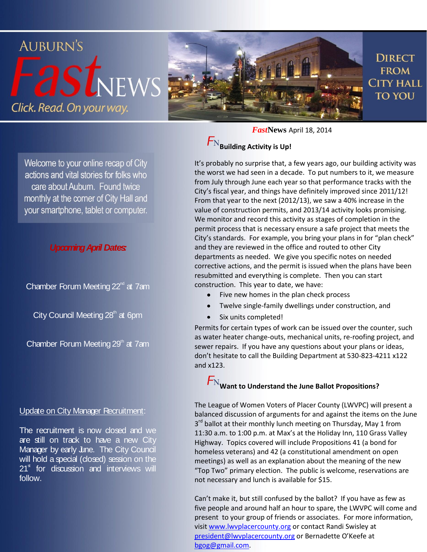

Welcome to your online recap of City actions and vital stories for folks who care about Auburn. Found twice monthly at the corner of City Hall and your smartphone, tablet or computer.

## *Upcoming April Dates:*

Chamber Forum Meeting  $22<sup>nd</sup>$  at 7am

City Council Meeting  $28<sup>th</sup>$  at 6pm

Chamber Forum Meeting  $29<sup>th</sup>$  at 7am

### Update on City Manager Recruitment:

The recruitment is now closed and we are still on track to have a new City Manager by early June. The City Council will hold a special (closed) session on the  $21<sup>st</sup>$  for discussion and interviews will follow.

*Fast***News** April 18, 2014

## **Building Activity is Up!**

It's probably no surprise that, a few years ago, our building activity was the worst we had seen in a decade. To put numbers to it, we measure from July through June each year so that performance tracks with the City's fiscal year, and things have definitely improved since 2011/12! From that year to the next (2012/13), we saw a 40% increase in the value of construction permits, and 2013/14 activity looks promising. We monitor and record this activity as stages of completion in the permit process that is necessary ensure a safe project that meets the City's standards. For example, you bring your plans in for "plan check" and they are reviewed in the office and routed to other City departments as needed. We give you specific notes on needed corrective actions, and the permit is issued when the plans have been resubmitted and everything is complete. Then you can start construction. This year to date, we have:

- $\bullet$ Five new homes in the plan check process
- $\bullet$ Twelve single-family dwellings under construction, and
- Six units completed!  $\bullet$

Permits for certain types of work can be issued over the counter, such as water heater change-outs, mechanical units, re-roofing project, and sewer repairs. If you have any questions about your plans or ideas, don't hesitate to call the Building Department at 530-823-4211 x122 and x123.

# $\mathcal{F}_\text{N}$ Want to Understand the June Ballot Propositions?

The League of Women Voters of Placer County (LWVPC) will present a balanced discussion of arguments for and against the items on the June 3<sup>rd</sup> ballot at their monthly lunch meeting on Thursday, May 1 from 11:30 a.m. to 1:00 p.m. at Max's at the Holiday Inn, 110 Grass Valley Highway. Topics covered will include Propositions 41 (a bond for homeless veterans) and 42 (a constitutional amendment on open meetings) as well as an explanation about the meaning of the new "Top Two" primary election. The public is welcome, reservations are not necessary and lunch is available for \$15.

Can't make it, but still confused by the ballot? If you have as few as five people and around half an hour to spare, the LWVPC will come and present to your group of friends or associates. For more information, visi[t www.lwvplacercounty.org](http://www.lwvplacercounty.org/) or contact Randi Swisley at [president@lwvplacercounty.org](mailto:president@lwvplacercounty.org) or Bernadette O'Keefe at [bgog@gmail.com.](mailto:bgog@gmail.com)